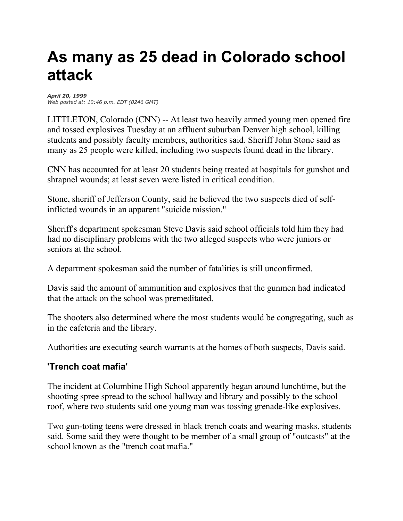# **As many as 25 dead in Colorado school attack**

*April 20, 1999 Web posted at: 10:46 p.m. EDT (0246 GMT)*

LITTLETON, Colorado (CNN) -- At least two heavily armed young men opened fire and tossed explosives Tuesday at an affluent suburban Denver high school, killing students and possibly faculty members, authorities said. Sheriff John Stone said as many as 25 people were killed, including two suspects found dead in the library.

CNN has accounted for at least 20 students being treated at hospitals for gunshot and shrapnel wounds; at least seven were listed in critical condition.

Stone, sheriff of Jefferson County, said he believed the two suspects died of selfinflicted wounds in an apparent "suicide mission."

Sheriff's department spokesman Steve Davis said school officials told him they had had no disciplinary problems with the two alleged suspects who were juniors or seniors at the school.

A department spokesman said the number of fatalities is still unconfirmed.

Davis said the amount of ammunition and explosives that the gunmen had indicated that the attack on the school was premeditated.

The shooters also determined where the most students would be congregating, such as in the cafeteria and the library.

Authorities are executing search warrants at the homes of both suspects, Davis said.

### **'Trench coat mafia'**

The incident at Columbine High School apparently began around lunchtime, but the shooting spree spread to the school hallway and library and possibly to the school roof, where two students said one young man was tossing grenade-like explosives.

Two gun-toting teens were dressed in black trench coats and wearing masks, students said. Some said they were thought to be member of a small group of "outcasts" at the school known as the "trench coat mafia."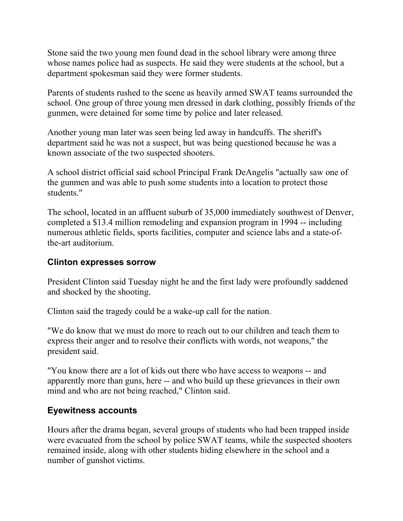Stone said the two young men found dead in the school library were among three whose names police had as suspects. He said they were students at the school, but a department spokesman said they were former students.

Parents of students rushed to the scene as heavily armed SWAT teams surrounded the school. One group of three young men dressed in dark clothing, possibly friends of the gunmen, were detained for some time by police and later released.

Another young man later was seen being led away in handcuffs. The sheriff's department said he was not a suspect, but was being questioned because he was a known associate of the two suspected shooters.

A school district official said school Principal Frank DeAngelis "actually saw one of the gunmen and was able to push some students into a location to protect those students."

The school, located in an affluent suburb of 35,000 immediately southwest of Denver, completed a \$13.4 million remodeling and expansion program in 1994 -- including numerous athletic fields, sports facilities, computer and science labs and a state-ofthe-art auditorium.

#### **Clinton expresses sorrow**

President Clinton said Tuesday night he and the first lady were profoundly saddened and shocked by the shooting.

Clinton said the tragedy could be a wake-up call for the nation.

"We do know that we must do more to reach out to our children and teach them to express their anger and to resolve their conflicts with words, not weapons," the president said.

"You know there are a lot of kids out there who have access to weapons -- and apparently more than guns, here -- and who build up these grievances in their own mind and who are not being reached," Clinton said.

#### **Eyewitness accounts**

Hours after the drama began, several groups of students who had been trapped inside were evacuated from the school by police SWAT teams, while the suspected shooters remained inside, along with other students hiding elsewhere in the school and a number of gunshot victims.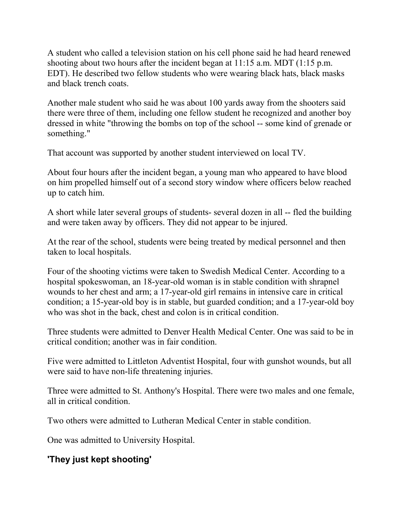A student who called a television station on his cell phone said he had heard renewed shooting about two hours after the incident began at 11:15 a.m. MDT (1:15 p.m. EDT). He described two fellow students who were wearing black hats, black masks and black trench coats.

Another male student who said he was about 100 yards away from the shooters said there were three of them, including one fellow student he recognized and another boy dressed in white "throwing the bombs on top of the school -- some kind of grenade or something."

That account was supported by another student interviewed on local TV.

About four hours after the incident began, a young man who appeared to have blood on him propelled himself out of a second story window where officers below reached up to catch him.

A short while later several groups of students- several dozen in all -- fled the building and were taken away by officers. They did not appear to be injured.

At the rear of the school, students were being treated by medical personnel and then taken to local hospitals.

Four of the shooting victims were taken to Swedish Medical Center. According to a hospital spokeswoman, an 18-year-old woman is in stable condition with shrapnel wounds to her chest and arm; a 17-year-old girl remains in intensive care in critical condition; a 15-year-old boy is in stable, but guarded condition; and a 17-year-old boy who was shot in the back, chest and colon is in critical condition.

Three students were admitted to Denver Health Medical Center. One was said to be in critical condition; another was in fair condition.

Five were admitted to Littleton Adventist Hospital, four with gunshot wounds, but all were said to have non-life threatening injuries.

Three were admitted to St. Anthony's Hospital. There were two males and one female, all in critical condition.

Two others were admitted to Lutheran Medical Center in stable condition.

One was admitted to University Hospital.

## **'They just kept shooting'**